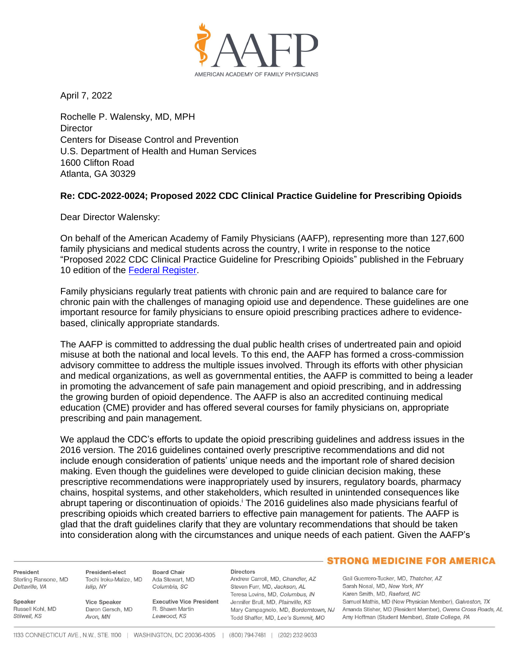

April 7, 2022

Rochelle P. Walensky, MD, MPH **Director** Centers for Disease Control and Prevention U.S. Department of Health and Human Services 1600 Clifton Road Atlanta, GA 30329

# **Re: CDC-2022-0024; Proposed 2022 CDC Clinical Practice Guideline for Prescribing Opioids**

Dear Director Walensky:

On behalf of the American Academy of Family Physicians (AAFP), representing more than 127,600 family physicians and medical students across the country, I write in response to the notice "Proposed 2022 CDC Clinical Practice Guideline for Prescribing Opioids" published in the February 10 edition of the [Federal Register.](https://www.federalregister.gov/documents/2022/02/10/2022-02802/proposed-2022-cdc-clinical-practice-guideline-for-prescribing-opioids)

Family physicians regularly treat patients with chronic pain and are required to balance care for chronic pain with the challenges of managing opioid use and dependence. These guidelines are one important resource for family physicians to ensure opioid prescribing practices adhere to evidencebased, clinically appropriate standards.

The AAFP is committed to addressing the dual public health crises of undertreated pain and opioid misuse at both the national and local levels. To this end, the AAFP has formed a cross-commission advisory committee to address the multiple issues involved. Through its efforts with other physician and medical organizations, as well as governmental entities, the AAFP is committed to being a leader in promoting the advancement of safe pain management and opioid prescribing, and in addressing the growing burden of opioid dependence. The AAFP is also an accredited continuing medical education (CME) provider and has offered several courses for family physicians on, appropriate prescribing and pain management.

We applaud the CDC's efforts to update the opioid prescribing guidelines and address issues in the 2016 version. The 2016 guidelines contained overly prescriptive recommendations and did not include enough consideration of patients' unique needs and the important role of shared decision making. Even though the guidelines were developed to guide clinician decision making, these prescriptive recommendations were inappropriately used by insurers, regulatory boards, pharmacy chains, hospital systems, and other stakeholders, which resulted in unintended consequences like abrupt tapering or discontinuation of opioids.<sup>i</sup> The 2016 guidelines also made physicians fearful of prescribing opioids which created barriers to effective pain management for patients. The AAFP is glad that the draft guidelines clarify that they are voluntary recommendations that should be taken into consideration along with the circumstances and unique needs of each patient. Given the AAFP's

President Sterling Ransone, MD Deltaville, VA

Russell Kohl, MD

Speaker

Stilwell, KS

President-elect Tochi Iroku-Malize, MD Islip, NY

Avon, MN

Vice Speaker Daron Gersch, MD

**Executive Vice President** R. Shawn Martin Leawood, KS

**Directors** Andrew Carroll, MD, Chandler, AZ Steven Furr, MD, Jackson, AL Teresa Lovins, MD, Columbus, IN Jennifer Brull, MD, Plainville, KS Todd Shaffer, MD, Lee's Summit, MO

## - STRONG MEDICINE FOR AMERICA

Gail Guerrero-Tucker, MD, Thatcher, AZ Sarah Nosal, MD, New York, NY Karen Smith, MD, Raeford, NC Samuel Mathis, MD (New Physician Member), Galveston, TX Mary Campagnolo, MD, Borderntown, NJ Amanda Stisher, MD (Resident Member), Owens Cross Roads, AL Amy Hoffman (Student Member), State College, PA

**Board Chair** 

Ada Stewart, MD

Columbia, SC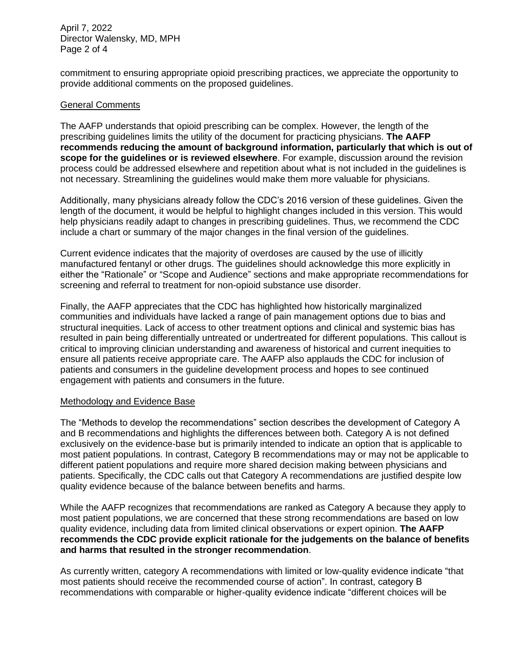## April 7, 2022 Director Walensky, MD, MPH Page 2 of 4

commitment to ensuring appropriate opioid prescribing practices, we appreciate the opportunity to provide additional comments on the proposed guidelines.

## General Comments

The AAFP understands that opioid prescribing can be complex. However, the length of the prescribing guidelines limits the utility of the document for practicing physicians. **The AAFP recommends reducing the amount of background information, particularly that which is out of scope for the guidelines or is reviewed elsewhere**. For example, discussion around the revision process could be addressed elsewhere and repetition about what is not included in the guidelines is not necessary. Streamlining the guidelines would make them more valuable for physicians.

Additionally, many physicians already follow the CDC's 2016 version of these guidelines. Given the length of the document, it would be helpful to highlight changes included in this version. This would help physicians readily adapt to changes in prescribing guidelines. Thus, we recommend the CDC include a chart or summary of the major changes in the final version of the guidelines.

Current evidence indicates that the majority of overdoses are caused by the use of illicitly manufactured fentanyl or other drugs. The guidelines should acknowledge this more explicitly in either the "Rationale" or "Scope and Audience" sections and make appropriate recommendations for screening and referral to treatment for non-opioid substance use disorder.

Finally, the AAFP appreciates that the CDC has highlighted how historically marginalized communities and individuals have lacked a range of pain management options due to bias and structural inequities. Lack of access to other treatment options and clinical and systemic bias has resulted in pain being differentially untreated or undertreated for different populations. This callout is critical to improving clinician understanding and awareness of historical and current inequities to ensure all patients receive appropriate care. The AAFP also applauds the CDC for inclusion of patients and consumers in the guideline development process and hopes to see continued engagement with patients and consumers in the future.

## Methodology and Evidence Base

The "Methods to develop the recommendations" section describes the development of Category A and B recommendations and highlights the differences between both. Category A is not defined exclusively on the evidence-base but is primarily intended to indicate an option that is applicable to most patient populations. In contrast, Category B recommendations may or may not be applicable to different patient populations and require more shared decision making between physicians and patients. Specifically, the CDC calls out that Category A recommendations are justified despite low quality evidence because of the balance between benefits and harms.

While the AAFP recognizes that recommendations are ranked as Category A because they apply to most patient populations, we are concerned that these strong recommendations are based on low quality evidence, including data from limited clinical observations or expert opinion. **The AAFP recommends the CDC provide explicit rationale for the judgements on the balance of benefits and harms that resulted in the stronger recommendation**.

As currently written, category A recommendations with limited or low-quality evidence indicate "that most patients should receive the recommended course of action". In contrast, category B recommendations with comparable or higher-quality evidence indicate "different choices will be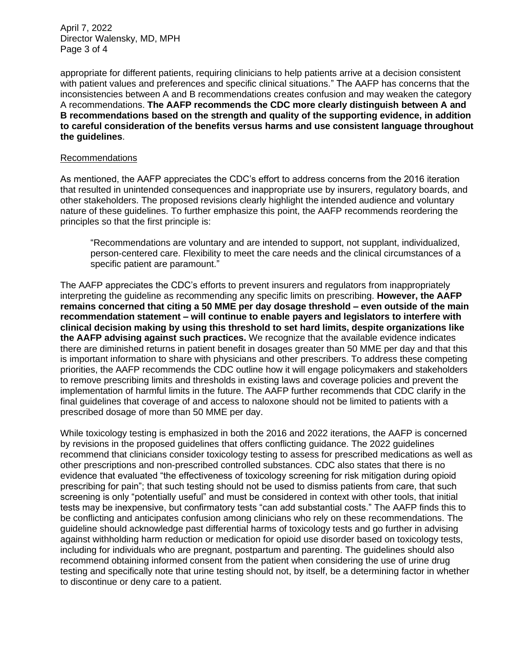April 7, 2022 Director Walensky, MD, MPH Page 3 of 4

appropriate for different patients, requiring clinicians to help patients arrive at a decision consistent with patient values and preferences and specific clinical situations." The AAFP has concerns that the inconsistencies between A and B recommendations creates confusion and may weaken the category A recommendations. **The AAFP recommends the CDC more clearly distinguish between A and B recommendations based on the strength and quality of the supporting evidence, in addition to careful consideration of the benefits versus harms and use consistent language throughout the guidelines**.

#### Recommendations

As mentioned, the AAFP appreciates the CDC's effort to address concerns from the 2016 iteration that resulted in unintended consequences and inappropriate use by insurers, regulatory boards, and other stakeholders. The proposed revisions clearly highlight the intended audience and voluntary nature of these guidelines. To further emphasize this point, the AAFP recommends reordering the principles so that the first principle is:

"Recommendations are voluntary and are intended to support, not supplant, individualized, person-centered care. Flexibility to meet the care needs and the clinical circumstances of a specific patient are paramount."

The AAFP appreciates the CDC's efforts to prevent insurers and regulators from inappropriately interpreting the guideline as recommending any specific limits on prescribing. **However, the AAFP remains concerned that citing a 50 MME per day dosage threshold – even outside of the main recommendation statement – will continue to enable payers and legislators to interfere with clinical decision making by using this threshold to set hard limits, despite organizations like the AAFP advising against such practices.** We recognize that the available evidence indicates there are diminished returns in patient benefit in dosages greater than 50 MME per day and that this is important information to share with physicians and other prescribers. To address these competing priorities, the AAFP recommends the CDC outline how it will engage policymakers and stakeholders to remove prescribing limits and thresholds in existing laws and coverage policies and prevent the implementation of harmful limits in the future. The AAFP further recommends that CDC clarify in the final guidelines that coverage of and access to naloxone should not be limited to patients with a prescribed dosage of more than 50 MME per day.

While toxicology testing is emphasized in both the 2016 and 2022 iterations, the AAFP is concerned by revisions in the proposed guidelines that offers conflicting guidance. The 2022 guidelines recommend that clinicians consider toxicology testing to assess for prescribed medications as well as other prescriptions and non-prescribed controlled substances. CDC also states that there is no evidence that evaluated "the effectiveness of toxicology screening for risk mitigation during opioid prescribing for pain"; that such testing should not be used to dismiss patients from care, that such screening is only "potentially useful" and must be considered in context with other tools, that initial tests may be inexpensive, but confirmatory tests "can add substantial costs." The AAFP finds this to be conflicting and anticipates confusion among clinicians who rely on these recommendations. The guideline should acknowledge past differential harms of toxicology tests and go further in advising against withholding harm reduction or medication for opioid use disorder based on toxicology tests, including for individuals who are pregnant, postpartum and parenting. The guidelines should also recommend obtaining informed consent from the patient when considering the use of urine drug testing and specifically note that urine testing should not, by itself, be a determining factor in whether to discontinue or deny care to a patient.